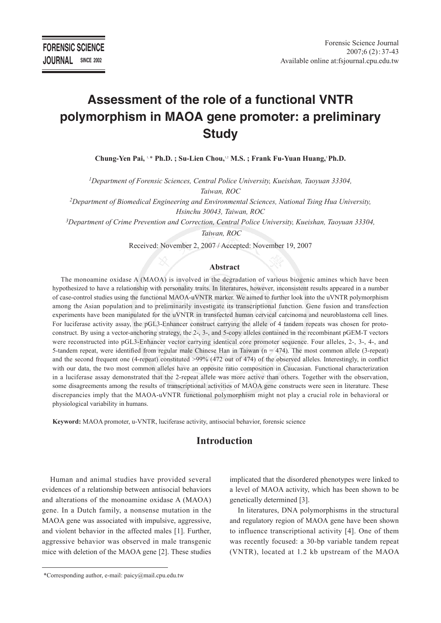# **Assessment of the role of a functional VNTR polymorphism in MAOA gene promoter: a preliminary Study**

**Chung-Yen Pai,** 1, \* **Ph.D. ; Su-Lien Chou,**1,2 **M.S. ; Frank Fu-Yuan Huang,**3 **Ph.D.** 

*1Department of Forensic Sciences, Central Police University, Kueishan, Taoyuan 33304, Taiwan, ROC*

*2Department of Biomedical Engineering and Environmental Sciences, National Tsing Hua University, Hsinchu 30043, Taiwan, ROC*

*3Department of Crime Prevention and Correction, Central Police University, Kueishan, Taoyuan 33304, Taiwan, ROC*

Received: November 2, 2007 / Accepted: November 19, 2007

#### **Abstract**

The monoamine oxidase A (MAOA) is involved in the degradation of various biogenic amines which have been hypothesized to have a relationship with personality traits. In literatures, however, inconsistent results appeared in a number of case-control studies using the functional MAOA-uVNTR marker. We aimed to further look into the uVNTR polymorphism among the Asian population and to preliminarily investigate its transcriptional function. Gene fusion and transfection experiments have been manipulated for the uVNTR in transfected human cervical carcinoma and neuroblastoma cell lines. For luciferase activity assay, the pGL3-Enhancer construct carrying the allele of 4 tandem repeats was chosen for protoconstruct. By using a vector-anchoring strategy, the 2-, 3-, and 5-copy alleles contained in the recombinant pGEM-T vectors were reconstructed into pGL3-Enhancer vector carrying identical core promoter sequence. Four alleles, 2-, 3-, 4-, and 5-tandem repeat, were identified from regular male Chinese Han in Taiwan (n = 474). The most common allele (3-repeat) and the second frequent one (4-repeat) constituted >99% (472 out of 474) of the observed alleles. Interestingly, in conflict with our data, the two most common alleles have an opposite ratio composition in Caucasian. Functional characterization in a luciferase assay demonstrated that the 2-repeat allele was more active than others. Together with the observation, some disagreements among the results of transcriptional activities of MAOA gene constructs were seen in literature. These discrepancies imply that the MAOA-uVNTR functional polymorphism might not play a crucial role in behavioral or physiological variability in humans.

**Keyword:** MAOA promoter, u-VNTR, luciferase activity, antisocial behavior, forensic science

# **Introduction**

Human and animal studies have provided several evidences of a relationship between antisocial behaviors and alterations of the monoamine oxidase A (MAOA) gene. In a Dutch family, a nonsense mutation in the MAOA gene was associated with impulsive, aggressive, and violent behavior in the affected males [1]. Further, aggressive behavior was observed in male transgenic mice with deletion of the MAOA gene [2]. These studies

implicated that the disordered phenotypes were linked to a level of MAOA activity, which has been shown to be genetically determined [3].

In literatures, DNA polymorphisms in the structural and regulatory region of MAOA gene have been shown to influence transcriptional activity [4]. One of them was recently focused: a 30-bp variable tandem repeat (VNTR), located at 1.2 kb upstream of the MAOA

 <sup>\*</sup>Corresponding author, e-mail: paicy@mail.cpu.edu.tw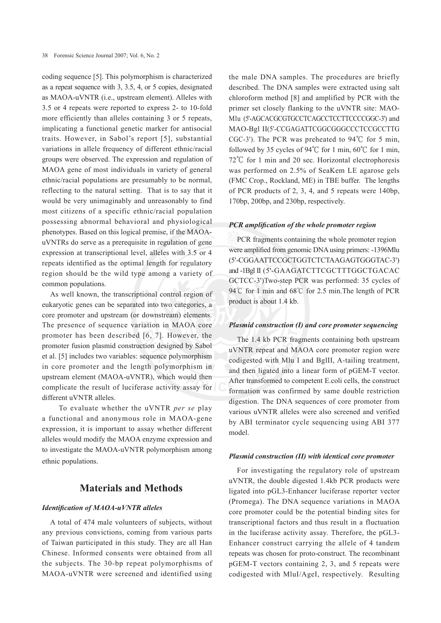coding sequence [5]. This polymorphism is characterized as a repeat sequence with 3, 3.5, 4, or 5 copies, designated as MAOA-uVNTR (i.e., upstream element). Alleles with 3.5 or 4 repeats were reported to express 2- to 10-fold more efficiently than alleles containing 3 or 5 repeats, implicating a functional genetic marker for antisocial traits. However, in Sabol's report [5], substantial variations in allele frequency of different ethnic/racial groups were observed. The expression and regulation of MAOA gene of most individuals in variety of general ethnic/racial populations are presumably to be normal, reflecting to the natural setting. That is to say that it would be very unimaginably and unreasonably to find most citizens of a specific ethnic/racial population possessing abnormal behavioral and physiological phenotypes. Based on this logical premise, if the MAOAuVNTRs do serve as a prerequisite in regulation of gene expression at transcriptional level, alleles with 3.5 or 4 repeats identified as the optimal length for regulatory region should be the wild type among a variety of common populations.

As well known, the transcriptional control region of eukaryotic genes can be separated into two categories, a core promoter and upstream (or downstream) elements. The presence of sequence variation in MAOA core promoter has been described [6, 7]. However, the promoter fusion plasmid construction designed by Sabol et al. [5] includes two variables: sequence polymorphism in core promoter and the length polymorphism in upstream element (MAOA-uVNTR), which would then complicate the result of luciferase activity assay for different uVNTR alleles.

 To evaluate whether the uVNTR *per se* play a functional and anonymous role in MAOA-gene expression, it is important to assay whether different alleles would modify the MAOA enzyme expression and to investigate the MAOA-uVNTR polymorphism among ethnic populations.

# **Materials and Methods**

### *Identification of MAOA-uVNTR alleles*

A total of 474 male volunteers of subjects, without any previous convictions, coming from various parts of Taiwan participated in this study. They are all Han Chinese. Informed consents were obtained from all the subjects. The 30-bp repeat polymorphisms of MAOA-uVNTR were screened and identified using

the male DNA samples. The procedures are briefly described. The DNA samples were extracted using salt chloroform method [8] and amplified by PCR with the primer set closely flanking to the uVNTR site: MAO-Mlu (5'-AGCACGCGTGCCTCAGCCTCCTTCCCCGGC-3') and MAO-Bgl II(5'-CCGAGATTCGGCGGGCCCTCCGCCTTG CGC-3'). The PCR was preheated to 94**℃** for 5 min, followed by 35 cycles of 94**℃** for 1 min, 60**℃** for 1 min, 72**℃** for 1 min and 20 sec. Horizontal electrophoresis was performed on 2.5% of SeaKem LE agarose gels (FMC Crop., Rockland, ME) in TBE buffer. The lengths of PCR products of 2, 3, 4, and 5 repeats were 140bp, 170bp, 200bp, and 230bp, respectively.

#### *PCR amplification of the whole promoter region*

PCR fragments containing the whole promoter region were amplified from genomic DNA using primers: -1396Mlu (5'-CGGAATTCCGCTGGTCTCTAAGAGTGGGTAC-3') and -1Bgl II (5'-GAAGATCTTCGCTTTGGCTGACAC GCTCC-3')Two-step PCR was performed: 35 cycles of 94℃ for 1 min and 68℃ for 2.5 min. The length of PCR product is about 1.4 kb.

#### *Plasmid construction (I) and core promoter sequencing*

The 1.4 kb PCR fragments containing both upstream uVNTR repeat and MAOA core promoter region were codigested with Mlu I and BglII, A-tailing treatment, and then ligated into a linear form of pGEM-T vector. After transformed to competent E.coli cells, the construct formation was confirmed by same double restriction digestion. The DNA sequences of core promoter from various uVNTR alleles were also screened and verified by ABI terminator cycle sequencing using ABI 377 model.

#### *Plasmid construction (II) with identical core promoter*

For investigating the regulatory role of upstream uVNTR, the double digested 1.4kb PCR products were ligated into pGL3-Enhancer luciferase reporter vector (Promega). The DNA sequence variations in MAOA core promoter could be the potential binding sites for transcriptional factors and thus result in a fluctuation in the luciferase activity assay. Therefore, the pGL3- Enhancer construct carrying the allele of 4 tandem repeats was chosen for proto-construct. The recombinant pGEM-T vectors containing 2, 3, and 5 repeats were codigested with MluI/AgeI, respectively. Resulting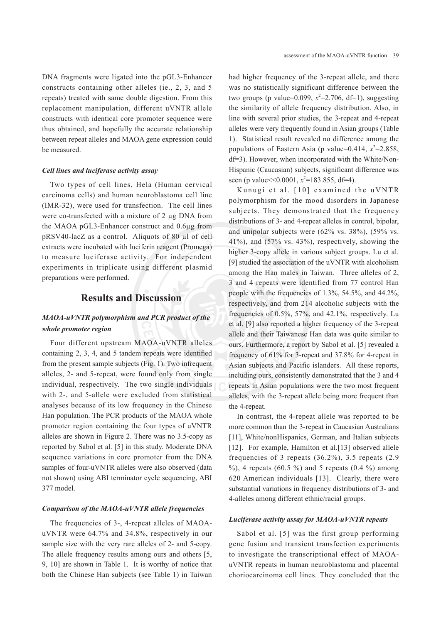DNA fragments were ligated into the pGL3-Enhancer constructs containing other alleles (ie., 2, 3, and 5 repeats) treated with same double digestion. From this replacement manipulation, different uVNTR allele constructs with identical core promoter sequence were thus obtained, and hopefully the accurate relationship between repeat alleles and MAOA gene expression could be measured.

#### *Cell lines and luciferase activity assay*

Two types of cell lines, Hela (Human cervical carcinoma cells) and human neuroblastoma cell line (IMR-32), were used for transfection. The cell lines were co-transfected with a mixture of 2 µg DNA from the MAOA pGL3-Enhancer construct and 0.6µg from pRSV40-lacZ as a control. Aliquots of 80 µl of cell extracts were incubated with luciferin reagent (Promega) to measure luciferase activity. For independent experiments in triplicate using different plasmid preparations were performed.

# **Results and Discussion**

## *MAOA-uVNTR polymorphism and PCR product of the whole promoter region*

Four different upstream MAOA-uVNTR alleles containing 2, 3, 4, and 5 tandem repeats were identified from the present sample subjects (Fig. 1). Two infrequent alleles, 2- and 5-repeat, were found only from single individual, respectively. The two single individuals with 2-, and 5-allele were excluded from statistical analyses because of its low frequency in the Chinese Han population. The PCR products of the MAOA whole promoter region containing the four types of uVNTR alleles are shown in Figure 2. There was no 3.5-copy as reported by Sabol et al. [5] in this study. Moderate DNA sequence variations in core promoter from the DNA samples of four-uVNTR alleles were also observed (data not shown) using ABI terminator cycle sequencing, ABI 377 model.

#### *Comparison of the MAOA-uVNTR allele frequencies*

The frequencies of 3-, 4-repeat alleles of MAOAuVNTR were 64.7% and 34.8%, respectively in our sample size with the very rare alleles of 2- and 5-copy. The allele frequency results among ours and others [5, 9, 10] are shown in Table 1. It is worthy of notice that both the Chinese Han subjects (see Table 1) in Taiwan

had higher frequency of the 3-repeat allele, and there was no statistically significant difference between the two groups (p value= $0.099$ ,  $x^2$ = $2.706$ , df=1), suggesting the similarity of allele frequency distribution. Also, in line with several prior studies, the 3-repeat and 4-repeat alleles were very frequently found in Asian groups (Table 1). Statistical result revealed no difference among the populations of Eastern Asia (p value= $0.414$ ,  $x^2$ = $2.858$ , df=3). However, when incorporated with the White/Non-Hispanic (Caucasian) subjects, significant difference was seen (p value  $\leq 0.0001$ ,  $x^2$  = 183.855, df = 4).

Kunugi et al. [10] examined the uVNTR polymorphism for the mood disorders in Japanese subjects. They demonstrated that the frequency distributions of 3- and 4-repeat alleles in control, bipolar, and unipolar subjects were (62% vs. 38%), (59% vs. 41%), and (57% vs. 43%), respectively, showing the higher 3-copy allele in various subject groups. Lu et al. [9] studied the association of the uVNTR with alcoholism among the Han males in Taiwan. Three alleles of 2, 3 and 4 repeats were identified from 77 control Han people with the frequencies of 1.3%, 54.5%, and 44.2%, respectively, and from 214 alcoholic subjects with the frequencies of 0.5%, 57%, and 42.1%, respectively. Lu et al. [9] also reported a higher frequency of the 3-repeat allele and their Taiwanese Han data was quite similar to ours. Furthermore, a report by Sabol et al. [5] revealed a frequency of 61% for 3-repeat and 37.8% for 4-repeat in Asian subjects and Pacific islanders. All these reports, including ours, consistently demonstrated that the 3 and 4 repeats in Asian populations were the two most frequent alleles, with the 3-repeat allele being more frequent than the 4-repeat.

In contrast, the 4-repeat allele was reported to be more common than the 3-repeat in Caucasian Australians [11], White/nonHispanics, German, and Italian subjects [12]. For example, Hamilton et al.[13] observed allele frequencies of 3 repeats  $(36.2\%)$ , 3.5 repeats  $(2.9$ %), 4 repeats (60.5 %) and 5 repeats (0.4 %) among 620 American individuals [13]. Clearly, there were substantial variations in frequency distributions of 3- and 4-alleles among different ethnic/racial groups.

#### *Luciferase activity assay for MAOA-uVNTR repeats*

Sabol et al. [5] was the first group performing gene fusion and transient transfection experiments to investigate the transcriptional effect of MAOAuVNTR repeats in human neuroblastoma and placental choriocarcinoma cell lines. They concluded that the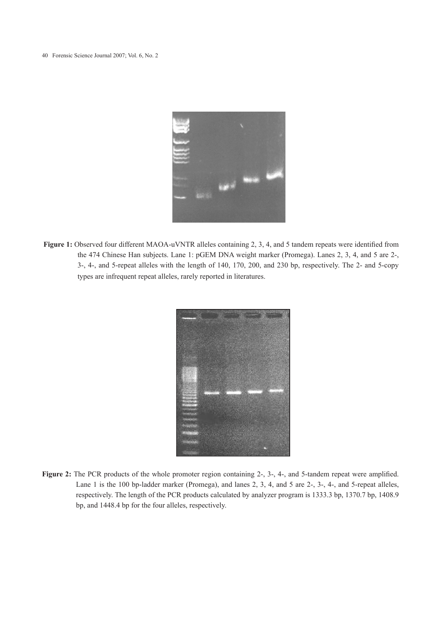

**Figure 1:** Observed four different MAOA-uVNTR alleles containing 2, 3, 4, and 5 tandem repeats were identified from the 474 Chinese Han subjects. Lane 1: pGEM DNA weight marker (Promega). Lanes 2, 3, 4, and 5 are 2-, 3-, 4-, and 5-repeat alleles with the length of 140, 170, 200, and 230 bp, respectively. The 2- and 5-copy types are infrequent repeat alleles, rarely reported in literatures.



Figure 2: The PCR products of the whole promoter region containing 2-, 3-, 4-, and 5-tandem repeat were amplified. Lane 1 is the 100 bp-ladder marker (Promega), and lanes 2, 3, 4, and 5 are 2-, 3-, 4-, and 5-repeat alleles, respectively. The length of the PCR products calculated by analyzer program is 1333.3 bp, 1370.7 bp, 1408.9 bp, and 1448.4 bp for the four alleles, respectively.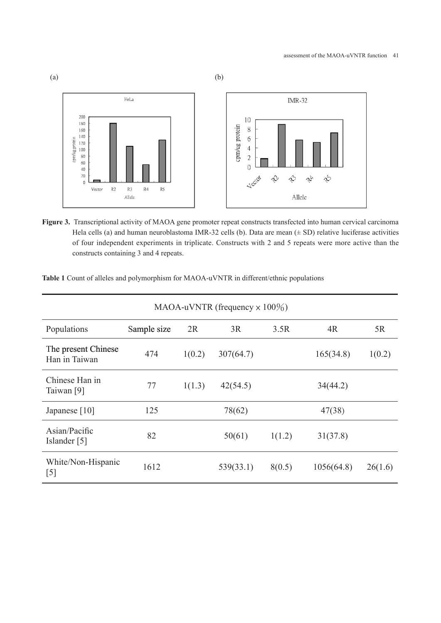

**Figure 3.** Transcriptional activity of MAOA gene promoter repeat constructs transfected into human cervical carcinoma Hela cells (a) and human neuroblastoma IMR-32 cells (b). Data are mean  $(± SD)$  relative luciferase activities of four independent experiments in triplicate. Constructs with 2 and 5 repeats were more active than the constructs containing 3 and 4 repeats.

| MAOA-uVNTR (frequency $\times$ 100%) |             |        |           |        |            |         |
|--------------------------------------|-------------|--------|-----------|--------|------------|---------|
| Populations                          | Sample size | 2R     | 3R        | 3.5R   | 4R         | 5R      |
| The present Chinese<br>Han in Taiwan | 474         | 1(0.2) | 307(64.7) |        | 165(34.8)  | 1(0.2)  |
| Chinese Han in<br>Taiwan [9]         | 77          | 1(1.3) | 42(54.5)  |        | 34(44.2)   |         |
| Japanese [10]                        | 125         |        | 78(62)    |        | 47(38)     |         |
| Asian/Pacific<br>Islander [5]        | 82          |        | 50(61)    | 1(1.2) | 31(37.8)   |         |
| White/Non-Hispanic<br>[5]            | 1612        |        | 539(33.1) | 8(0.5) | 1056(64.8) | 26(1.6) |

**Table 1** Count of alleles and polymorphism for MAOA-uVNTR in different/ethnic populations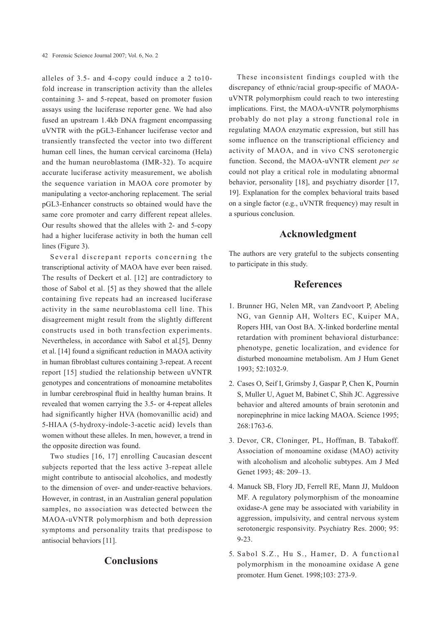alleles of 3.5- and 4-copy could induce a 2 to10 fold increase in transcription activity than the alleles containing 3- and 5-repeat, based on promoter fusion assays using the luciferase reporter gene. We had also fused an upstream 1.4kb DNA fragment encompassing uVNTR with the pGL3-Enhancer luciferase vector and transiently transfected the vector into two different human cell lines, the human cervical carcinoma (Hela) and the human neuroblastoma (IMR-32). To acquire accurate luciferase activity measurement, we abolish the sequence variation in MAOA core promoter by manipulating a vector-anchoring replacement. The serial pGL3-Enhancer constructs so obtained would have the same core promoter and carry different repeat alleles. Our results showed that the alleles with 2- and 5-copy had a higher luciferase activity in both the human cell lines (Figure 3).

Several discrepant reports concerning the transcriptional activity of MAOA have ever been raised. The results of Deckert et al. [12] are contradictory to those of Sabol et al. [5] as they showed that the allele containing five repeats had an increased luciferase activity in the same neuroblastoma cell line. This disagreement might result from the slightly different constructs used in both transfection experiments. Nevertheless, in accordance with Sabol et al.[5], Denny et al. [14] found a significant reduction in MAOA activity in human fibroblast cultures containing 3-repeat. A recent report [15] studied the relationship between uVNTR genotypes and concentrations of monoamine metabolites in lumbar cerebrospinal fluid in healthy human brains. It revealed that women carrying the 3.5- or 4-repeat alleles had significantly higher HVA (homovanillic acid) and 5-HIAA (5-hydroxy-indole-3-acetic acid) levels than women without these alleles. In men, however, a trend in the opposite direction was found.

Two studies [16, 17] enrolling Caucasian descent subjects reported that the less active 3-repeat allele might contribute to antisocial alcoholics, and modestly to the dimension of over- and under-reactive behaviors. However, in contrast, in an Australian general population samples, no association was detected between the MAOA-uVNTR polymorphism and both depression symptoms and personality traits that predispose to antisocial behaviors [11].

## **Conclusions**

These inconsistent findings coupled with the discrepancy of ethnic/racial group-specific of MAOAuVNTR polymorphism could reach to two interesting implications. First, the MAOA-uVNTR polymorphisms probably do not play a strong functional role in regulating MAOA enzymatic expression, but still has some influence on the transcriptional efficiency and activity of MAOA, and in vivo CNS serotonergic function. Second, the MAOA-uVNTR element *per se*  could not play a critical role in modulating abnormal behavior, personality [18], and psychiatry disorder [17, 19]. Explanation for the complex behavioral traits based on a single factor (e.g., uVNTR frequency) may result in a spurious conclusion.

## **Acknowledgment**

The authors are very grateful to the subjects consenting to participate in this study.

# **References**

- 1. Brunner HG, Nelen MR, van Zandvoort P, Abeling NG, van Gennip AH, Wolters EC, Kuiper MA, Ropers HH, van Oost BA. X-linked borderline mental retardation with prominent behavioral disturbance: phenotype, genetic localization, and evidence for disturbed monoamine metabolism. Am J Hum Genet 1993; 52:1032-9.
- 2. Cases O, Seif I, Grimsby J, Gaspar P, Chen K, Pournin S, Muller U, Aguet M, Babinet C, Shih JC. Aggressive behavior and altered amounts of brain serotonin and norepinephrine in mice lacking MAOA. Science 1995; 268:1763-6.
- 3. Devor, CR, Cloninger, PL, Hoffman, B. Tabakoff. Association of monoamine oxidase (MAO) activity with alcoholism and alcoholic subtypes. Am J Med Genet 1993: 48: 209–13.
- 4. Manuck SB, Flory JD, Ferrell RE, Mann JJ, Muldoon MF. A regulatory polymorphism of the monoamine oxidase-A gene may be associated with variability in aggression, impulsivity, and central nervous system serotonergic responsivity. Psychiatry Res. 2000; 95: 9-23.
- 5. Sabol S.Z., Hu S., Hamer, D. A functional polymorphism in the monoamine oxidase A gene promoter. Hum Genet. 1998;103: 273-9.